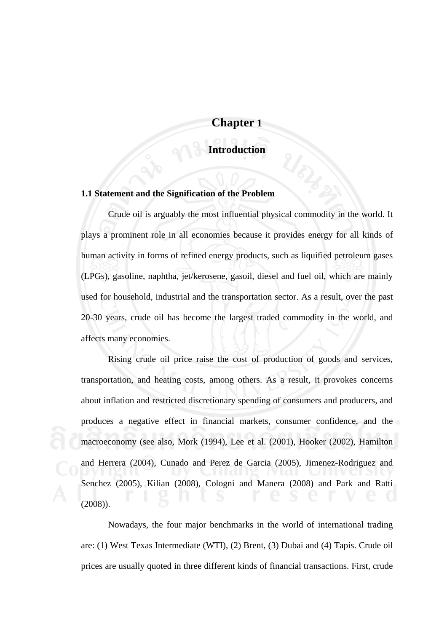# **Chapter 1**

## **Introduction**

#### **1.1 Statement and the Signification of the Problem**

 Crude oil is arguably the most influential physical commodity in the world. It plays a prominent role in all economies because it provides energy for all kinds of human activity in forms of refined energy products, such as liquified petroleum gases (LPGs), gasoline, naphtha, jet/kerosene, gasoil, diesel and fuel oil, which are mainly used for household, industrial and the transportation sector. As a result, over the past 20-30 years, crude oil has become the largest traded commodity in the world, and affects many economies.

 Rising crude oil price raise the cost of production of goods and services, transportation, and heating costs, among others. As a result, it provokes concerns about inflation and restricted discretionary spending of consumers and producers, and produces a negative effect in financial markets, consumer confidence, and the macroeconomy (see also, Mork (1994), Lee et al. (2001), Hooker (2002), Hamilton and Herrera (2004), Cunado and Perez de Garcia (2005), Jimenez-Rodriguez and Senchez (2005), Kilian (2008), Cologni and Manera (2008) and Park and Ratti (2008)).

 Nowadays, the four major benchmarks in the world of international trading are: (1) West Texas Intermediate (WTI), (2) Brent, (3) Dubai and (4) Tapis. Crude oil prices are usually quoted in three different kinds of financial transactions. First, crude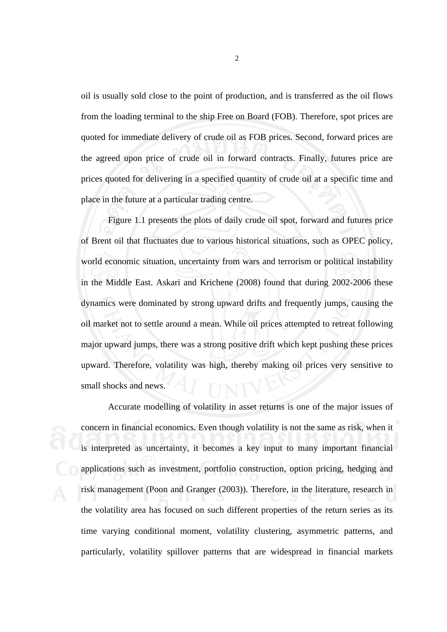oil is usually sold close to the point of production, and is transferred as the oil flows from the loading terminal to the ship Free on Board (FOB). Therefore, spot prices are quoted for immediate delivery of crude oil as FOB prices. Second, forward prices are the agreed upon price of crude oil in forward contracts. Finally, futures price are prices quoted for delivering in a specified quantity of crude oil at a specific time and place in the future at a particular trading centre.

 Figure 1.1 presents the plots of daily crude oil spot, forward and futures price of Brent oil that fluctuates due to various historical situations, such as OPEC policy, world economic situation, uncertainty from wars and terrorism or political instability in the Middle East. Askari and Krichene (2008) found that during 2002-2006 these dynamics were dominated by strong upward drifts and frequently jumps, causing the oil market not to settle around a mean. While oil prices attempted to retreat following major upward jumps, there was a strong positive drift which kept pushing these prices upward. Therefore, volatility was high, thereby making oil prices very sensitive to small shocks and news.

 Accurate modelling of volatility in asset returns is one of the major issues of concern in financial economics. Even though volatility is not the same as risk, when it is interpreted as uncertainty, it becomes a key input to many important financial applications such as investment, portfolio construction, option pricing, hedging and risk management (Poon and Granger (2003)). Therefore, in the literature, research in the volatility area has focused on such different properties of the return series as its time varying conditional moment, volatility clustering, asymmetric patterns, and particularly, volatility spillover patterns that are widespread in financial markets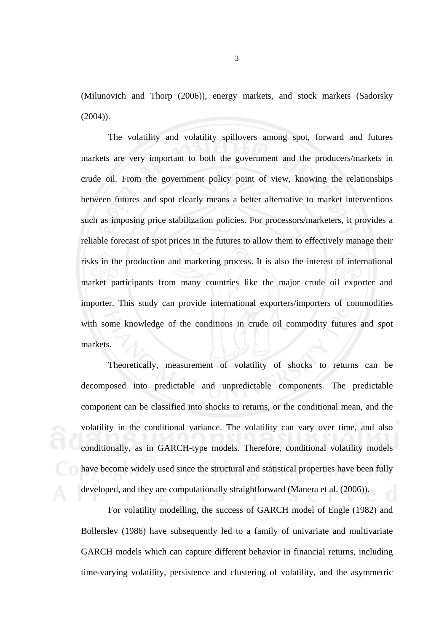(Milunovich and Thorp (2006)), energy markets, and stock markets (Sadorsky  $(2004)$ ).

 The volatility and volatility spillovers among spot, forward and futures markets are very important to both the government and the producers/markets in crude oil. From the government policy point of view, knowing the relationships between futures and spot clearly means a better alternative to market interventions such as imposing price stabilization policies. For processors/marketers, it provides a reliable forecast of spot prices in the futures to allow them to effectively manage their risks in the production and marketing process. It is also the interest of international market participants from many countries like the major crude oil exporter and importer. This study can provide international exporters/importers of commodities with some knowledge of the conditions in crude oil commodity futures and spot markets.

 Theoretically, measurement of volatility of shocks to returns can be decomposed into predictable and unpredictable components. The predictable component can be classified into shocks to returns, or the conditional mean, and the volatility in the conditional variance. The volatility can vary over time, and also conditionally, as in GARCH-type models. Therefore, conditional volatility models have become widely used since the structural and statistical properties have been fully developed, and they are computationally straightforward (Manera et al. (2006)).

 For volatility modelling, the success of GARCH model of Engle (1982) and Bollerslev (1986) have subsequently led to a family of univariate and multivariate GARCH models which can capture different behavior in financial returns, including time-varying volatility, persistence and clustering of volatility, and the asymmetric

3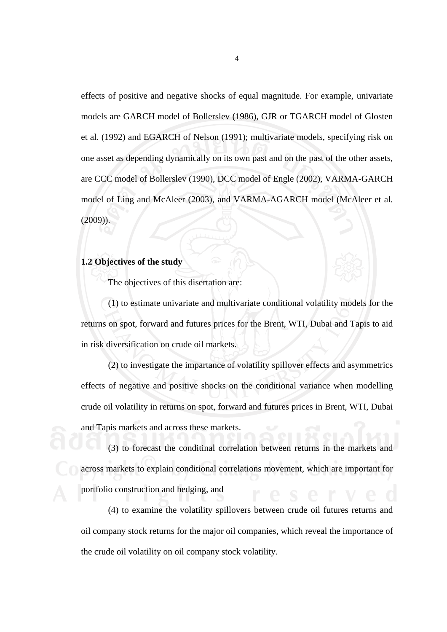effects of positive and negative shocks of equal magnitude. For example, univariate models are GARCH model of Bollerslev (1986), GJR or TGARCH model of Glosten et al. (1992) and EGARCH of Nelson (1991); multivariate models, specifying risk on one asset as depending dynamically on its own past and on the past of the other assets, are CCC model of Bollerslev (1990), DCC model of Engle (2002), VARMA-GARCH model of Ling and McAleer (2003), and VARMA-AGARCH model (McAleer et al.  $(2009)$ 

### **1.2 Objectives of the study**

The objectives of this disertation are:

 (1) to estimate univariate and multivariate conditional volatility models for the returns on spot, forward and futures prices for the Brent, WTI, Dubai and Tapis to aid in risk diversification on crude oil markets.

 (2) to investigate the impartance of volatility spillover effects and asymmetrics effects of negative and positive shocks on the conditional variance when modelling crude oil volatility in returns on spot, forward and futures prices in Brent, WTI, Dubai and Tapis markets and across these markets.

 (3) to forecast the conditinal correlation between returns in the markets and across markets to explain conditional correlations movement, which are important for portfolio construction and hedging, and

 (4) to examine the volatility spillovers between crude oil futures returns and oil company stock returns for the major oil companies, which reveal the importance of the crude oil volatility on oil company stock volatility.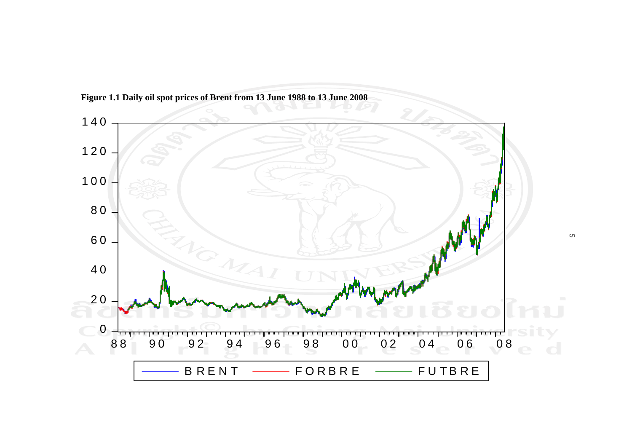

**Figure 1.1 Daily oil spot prices of Brent from 13 June 1988 to 13 June 2008**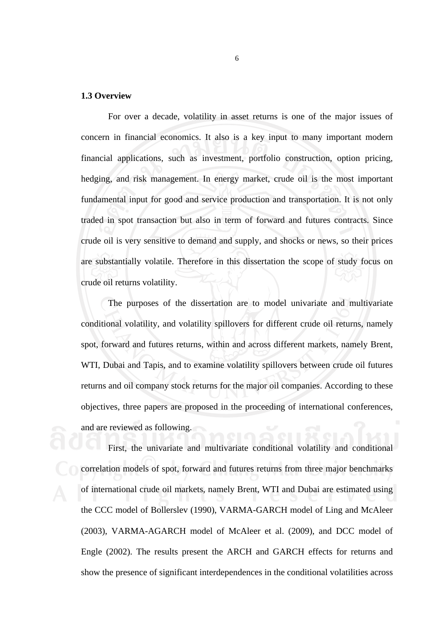#### **1.3 Overview**

 For over a decade, volatility in asset returns is one of the major issues of concern in financial economics. It also is a key input to many important modern financial applications, such as investment, portfolio construction, option pricing, hedging, and risk management. In energy market, crude oil is the most important fundamental input for good and service production and transportation. It is not only traded in spot transaction but also in term of forward and futures contracts. Since crude oil is very sensitive to demand and supply, and shocks or news, so their prices are substantially volatile. Therefore in this dissertation the scope of study focus on crude oil returns volatility.

 The purposes of the dissertation are to model univariate and multivariate conditional volatility, and volatility spillovers for different crude oil returns, namely spot, forward and futures returns, within and across different markets, namely Brent, WTI, Dubai and Tapis, and to examine volatility spillovers between crude oil futures returns and oil company stock returns for the major oil companies. According to these objectives, three papers are proposed in the proceeding of international conferences, and are reviewed as following.

 First, the univariate and multivariate conditional volatility and conditional correlation models of spot, forward and futures returns from three major benchmarks of international crude oil markets, namely Brent, WTI and Dubai are estimated using the CCC model of Bollerslev (1990), VARMA-GARCH model of Ling and McAleer (2003), VARMA-AGARCH model of McAleer et al. (2009), and DCC model of Engle (2002). The results present the ARCH and GARCH effects for returns and show the presence of significant interdependences in the conditional volatilities across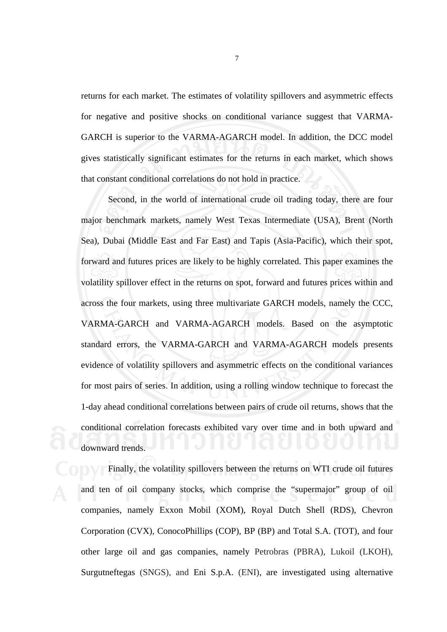returns for each market. The estimates of volatility spillovers and asymmetric effects for negative and positive shocks on conditional variance suggest that VARMA-GARCH is superior to the VARMA-AGARCH model. In addition, the DCC model gives statistically significant estimates for the returns in each market, which shows that constant conditional correlations do not hold in practice.

 Second, in the world of international crude oil trading today, there are four major benchmark markets, namely West Texas Intermediate (USA), Brent (North Sea), Dubai (Middle East and Far East) and Tapis (Asia-Pacific), which their spot, forward and futures prices are likely to be highly correlated. This paper examines the volatility spillover effect in the returns on spot, forward and futures prices within and across the four markets, using three multivariate GARCH models, namely the CCC, VARMA-GARCH and VARMA-AGARCH models. Based on the asymptotic standard errors, the VARMA-GARCH and VARMA-AGARCH models presents evidence of volatility spillovers and asymmetric effects on the conditional variances for most pairs of series. In addition, using a rolling window technique to forecast the 1-day ahead conditional correlations between pairs of crude oil returns, shows that the conditional correlation forecasts exhibited vary over time and in both upward and downward trends.

 Finally, the volatility spillovers between the returns on WTI crude oil futures and ten of oil company stocks, which comprise the "supermajor" group of oil companies, namely Exxon Mobil (XOM), Royal Dutch Shell (RDS), Chevron Corporation (CVX), ConocoPhillips (COP), BP (BP) and Total S.A. (TOT), and four other large oil and gas companies, namely Petrobras (PBRA), Lukoil (LKOH), Surgutneftegas (SNGS), and Eni S.p.A. (ENI), are investigated using alternative

7